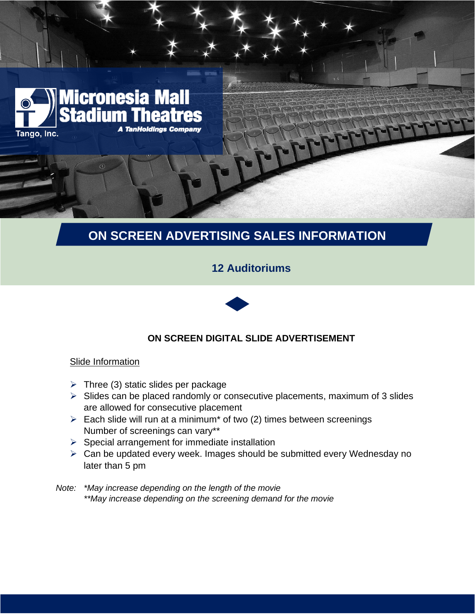

# **ON SCREEN ADVERTISING SALES INFORMATION**

# **12 Auditoriums**



## **ON SCREEN DIGITAL SLIDE ADVERTISEMENT**

## **Slide Information**

- $\triangleright$  Three (3) static slides per package
- $\triangleright$  Slides can be placed randomly or consecutive placements, maximum of 3 slides are allowed for consecutive placement
- $\triangleright$  Each slide will run at a minimum<sup>\*</sup> of two (2) times between screenings Number of screenings can vary\*\*
- $\triangleright$  Special arrangement for immediate installation
- ➢ Can be updated every week. Images should be submitted every Wednesday no later than 5 pm
- *Note: \*May increase depending on the length of the movie \*\*May increase depending on the screening demand for the movie*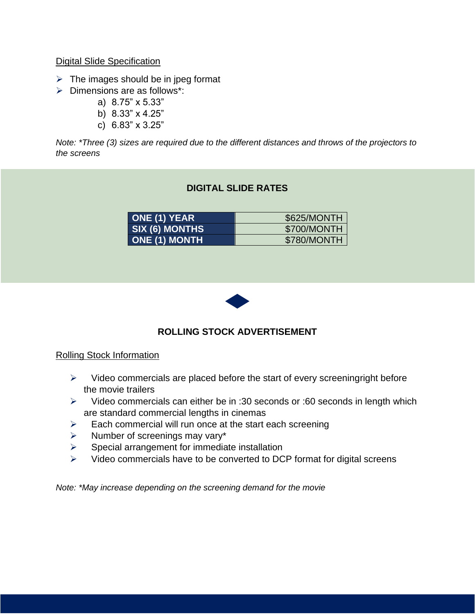### Digital Slide Specification

- $\triangleright$  The images should be in jpeg format
- ➢ Dimensions are as follows\*:
	- a) 8.75" x 5.33"
	- b) 8.33" x 4.25"
	- c) 6.83" x 3.25"

*Note: \*Three (3) sizes are required due to the different distances and throws of the projectors to the screens*

## **DIGITAL SLIDE RATES**

| <b>ONE (1) YEAR</b>  | \$625/MONTH |
|----------------------|-------------|
| SIX (6) MONTHS       | \$700/MONTH |
| <b>ONE (1) MONTH</b> | \$780/MONTH |



## **ROLLING STOCK ADVERTISEMENT**

#### Rolling Stock Information

- $\triangleright$  Video commercials are placed before the start of every screeningright before the movie trailers
- ➢ Video commercials can either be in :30 seconds or :60 seconds in length which are standard commercial lengths in cinemas
- $\triangleright$  Each commercial will run once at the start each screening
- $\triangleright$  Number of screenings may vary\*
- $\triangleright$  Special arrangement for immediate installation
- ➢ Video commercials have to be converted to DCP format for digital screens

*Note: \*May increase depending on the screening demand for the movie*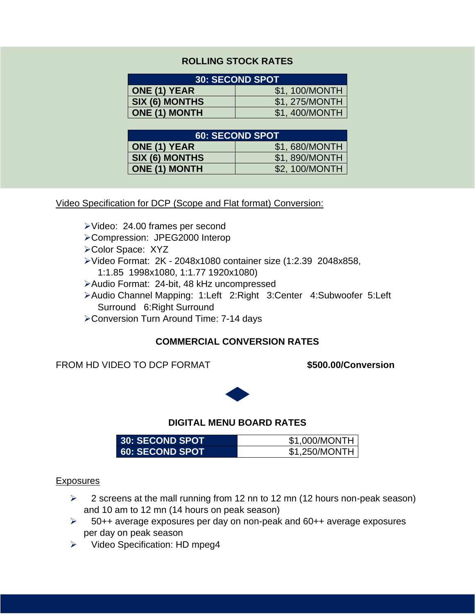## **ROLLING STOCK RATES**

| <b>30: SECOND SPOT</b> |                |  |
|------------------------|----------------|--|
| <b>ONE (1) YEAR</b>    | \$1,100/MONTH  |  |
| SIX (6) MONTHS         | \$1, 275/MONTH |  |
| <b>ONE (1) MONTH</b>   | \$1,400/MONTH  |  |

| 60: SECOND SPOT      |                |  |
|----------------------|----------------|--|
| <b>ONE (1) YEAR</b>  | \$1,680/MONTH  |  |
| SIX (6) MONTHS       | \$1,890/MONTH  |  |
| <b>ONE (1) MONTH</b> | \$2, 100/MONTH |  |

Video Specification for DCP (Scope and Flat format) Conversion:

- ➢Video: 24.00 frames per second
- ➢Compression: JPEG2000 Interop
- ➢Color Space: XYZ
- ➢Video Format: 2K 2048x1080 container size (1:2.39 2048x858,
	- 1:1.85 1998x1080, 1:1.77 1920x1080)
- ➢Audio Format: 24-bit, 48 kHz uncompressed
- ➢Audio Channel Mapping: 1:Left 2:Right 3:Center 4:Subwoofer 5:Left Surround 6:Right Surround
- ➢Conversion Turn Around Time: 7-14 days

## **COMMERCIAL CONVERSION RATES**

FROM HD VIDEO TO DCP FORMAT **\$500.00/Conversion** 



#### **DIGITAL MENU BOARD RATES**

| <b>30: SECOND SPOT</b>   | \$1.000/MONTH |
|--------------------------|---------------|
| <b>60: SECOND SPOT</b> ' | \$1.250/MONTH |

#### **Exposures**

- ➢ 2 screens at the mall running from 12 nn to 12 mn (12 hours non-peak season) and 10 am to 12 mn (14 hours on peak season)
- ➢ 50++ average exposures per day on non-peak and 60++ average exposures per day on peak season
- ➢ Video Specification: HD mpeg4